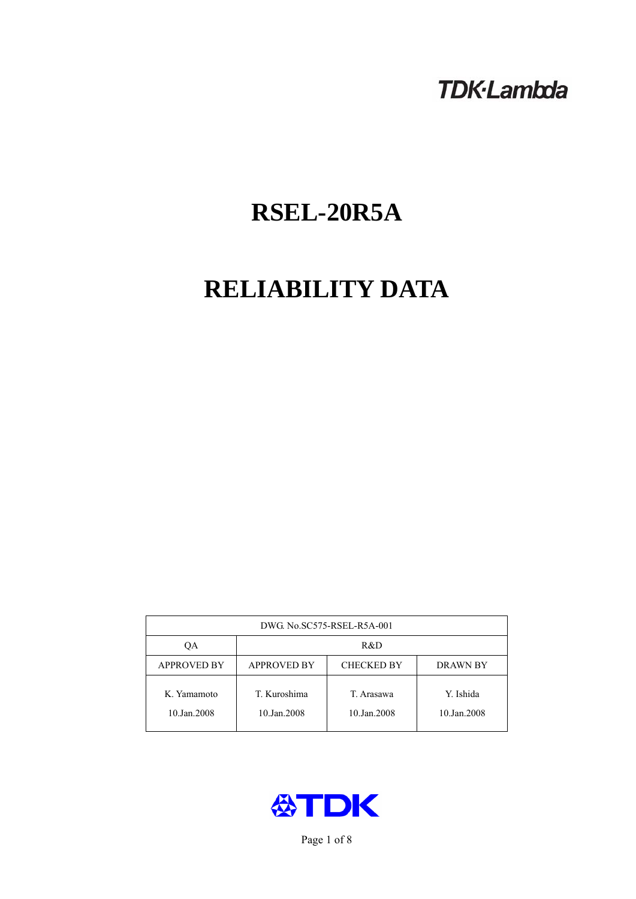# **TDK-Lambda**

# **RSEL-20R5A**

# **RELIABILITY DATA**

| DWG. No.SC575-RSEL-R5A-001 |                                                            |                           |                          |  |  |
|----------------------------|------------------------------------------------------------|---------------------------|--------------------------|--|--|
| ОA                         | R&D                                                        |                           |                          |  |  |
| <b>APPROVED BY</b>         | <b>APPROVED BY</b><br><b>CHECKED BY</b><br><b>DRAWN BY</b> |                           |                          |  |  |
| K. Yamamoto<br>10.Jan.2008 | T. Kuroshima<br>10.Jan.2008                                | T. Arasawa<br>10.Jan.2008 | Y. Ishida<br>10.Jan.2008 |  |  |



Page 1 of 8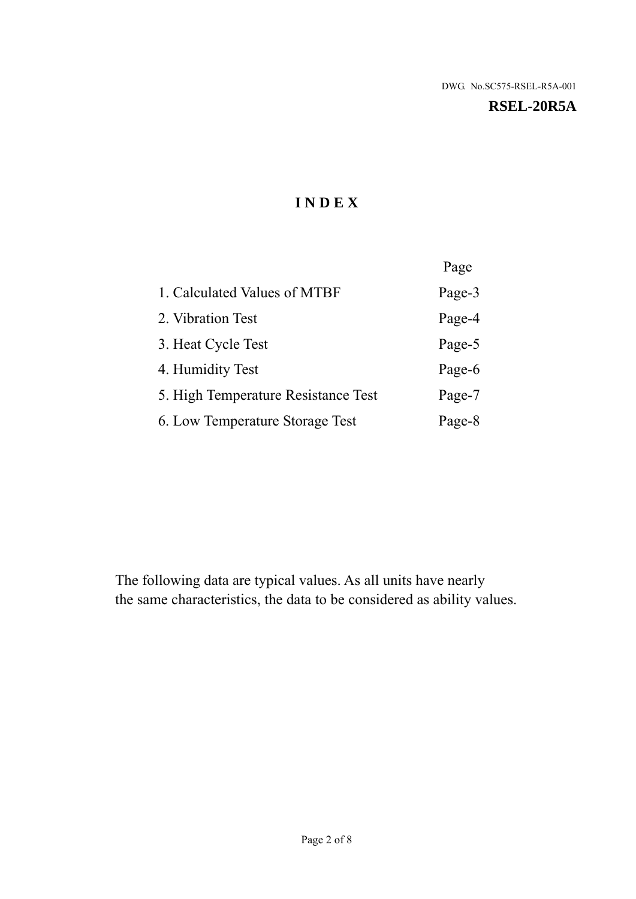#### **RSEL-20R5A**

# **I N D E X**

|                                     | Page   |
|-------------------------------------|--------|
| 1. Calculated Values of MTBF        | Page-3 |
| 2. Vibration Test                   | Page-4 |
| 3. Heat Cycle Test                  | Page-5 |
| 4. Humidity Test                    | Page-6 |
| 5. High Temperature Resistance Test | Page-7 |
| 6. Low Temperature Storage Test     | Page-8 |

The following data are typical values. As all units have nearly the same characteristics, the data to be considered as ability values.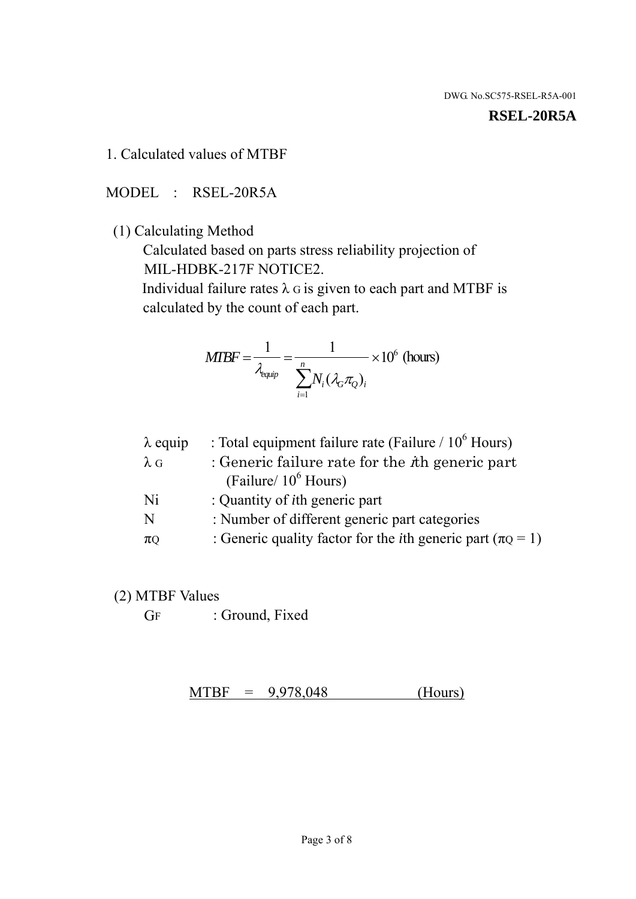#### **RSEL-20R5A**

1. Calculated values of MTBF

MODEL : RSEL-20R5A

(1) Calculating Method

 Calculated based on parts stress reliability projection of MIL-HDBK-217F NOTICE2.

Individual failure rates  $\lambda$  G is given to each part and MTBF is calculated by the count of each part.

$$
MTBF = \frac{1}{\lambda_{\text{equip}}} = \frac{1}{\sum_{i=1}^{n} N_i (\lambda_G \pi_Q)_i} \times 10^6 \text{ (hours)}
$$

| : Total equipment failure rate (Failure / $10^6$ Hours)                   |
|---------------------------------------------------------------------------|
| : Generic failure rate for the $\hbar$ generic part                       |
| (Failure/ $10^6$ Hours)                                                   |
| : Quantity of <i>i</i> th generic part                                    |
| : Number of different generic part categories                             |
| : Generic quality factor for the <i>i</i> th generic part ( $\pi Q = 1$ ) |
|                                                                           |

- (2) MTBF Values
	- GF : Ground, Fixed

 $MTBF = 9,978,048$  (Hours)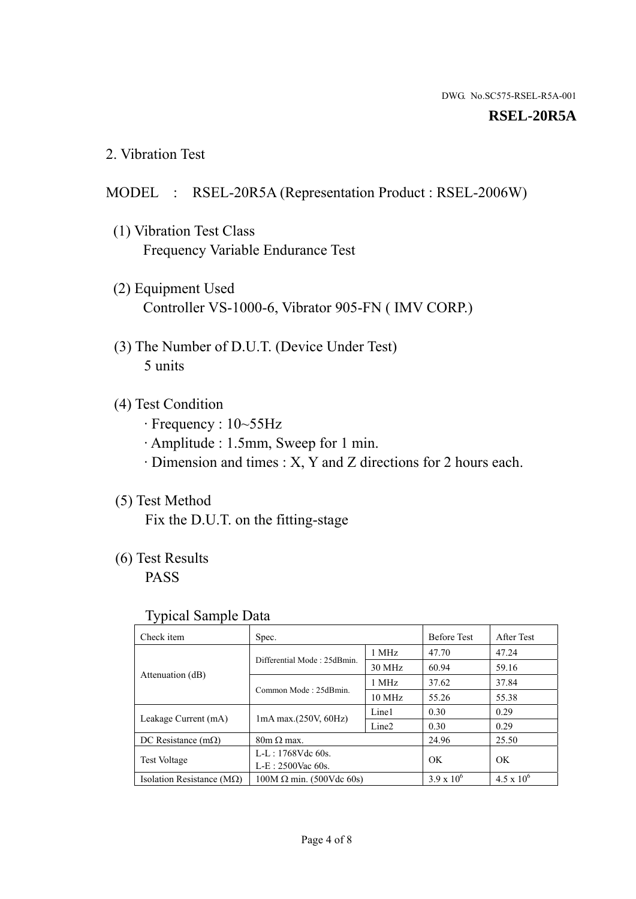#### **RSEL-20R5A**

2. Vibration Test

### MODEL : RSEL-20R5A (Representation Product : RSEL-2006W)

- (1) Vibration Test Class Frequency Variable Endurance Test
- (2) Equipment Used Controller VS-1000-6, Vibrator 905-FN ( IMV CORP.)
- (3) The Number of D.U.T. (Device Under Test) 5 units
- (4) Test Condition
	- · Frequency : 10~55Hz
	- · Amplitude : 1.5mm, Sweep for 1 min.
	- · Dimension and times : X, Y and Z directions for 2 hours each.

# (5) Test Method

Fix the D.U.T. on the fitting-stage

# (6) Test Results

PASS

#### Typical Sample Data

| . .                                |                                 |                   |                     |                     |
|------------------------------------|---------------------------------|-------------------|---------------------|---------------------|
| Check item                         | Spec.                           |                   | <b>Before Test</b>  | After Test          |
|                                    | Differential Mode: 25dBmin.     | 1 MHz             | 47.70               | 47.24               |
|                                    |                                 | 30 MHz            | 60.94               | 59.16               |
| Attenuation (dB)                   | Common Mode: 25dBmin.           | 1 MHz             | 37.62               | 37.84               |
|                                    |                                 | $10 \text{ MHz}$  | 55.26               | 55.38               |
| Leakage Current (mA)               | $1mA$ max. $(250V, 60Hz)$       | Line1             | 0.30                | 0.29                |
|                                    |                                 | Line <sub>2</sub> | 0.30                | 0.29                |
| DC Resistance $(m\Omega)$          | $80m \Omega$ max.               |                   | 24.96               | 25.50               |
| <b>Test Voltage</b>                | $L-L: 1768Vdc$ 60s.             |                   | OK                  | OK.                 |
|                                    | $L-E$ : 2500Vac 60s.            |                   |                     |                     |
| Isolation Resistance ( $M\Omega$ ) | $100M \Omega$ min. (500Vdc 60s) |                   | $3.9 \times 10^{6}$ | $4.5 \times 10^{6}$ |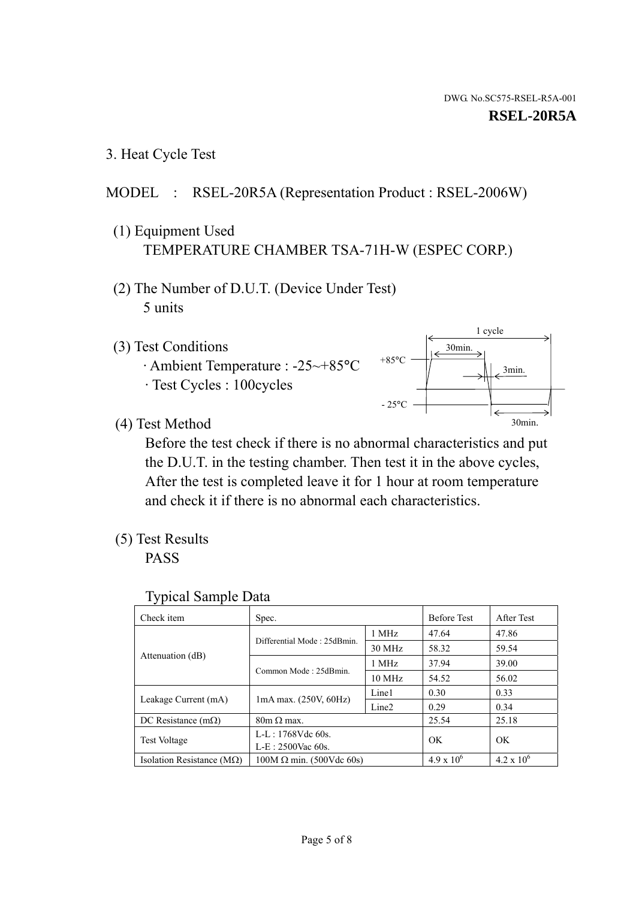1 cycle

30min.

3min.

30min.

3. Heat Cycle Test

# MODEL : RSEL-20R5A (Representation Product : RSEL-2006W)

- (1) Equipment Used TEMPERATURE CHAMBER TSA-71H-W (ESPEC CORP.)
- (2) The Number of D.U.T. (Device Under Test) 5 units
- (3) Test Conditions
	- · Ambient Temperature : -25~+85°C · Test Cycles : 100cycles
- (4) Test Method

 Before the test check if there is no abnormal characteristics and put the D.U.T. in the testing chamber. Then test it in the above cycles, After the test is completed leave it for 1 hour at room temperature and check it if there is no abnormal each characteristics.

 $+85$ °C

 $-25$ °C

(5) Test Results

PASS

| <b>Typical Sample Data</b> |  |  |
|----------------------------|--|--|
|----------------------------|--|--|

| Check item                         | Spec.                           |                   | <b>Before Test</b>  | After Test        |
|------------------------------------|---------------------------------|-------------------|---------------------|-------------------|
|                                    | Differential Mode: 25dBmin.     | 1 MHz             | 47.64               | 47.86             |
|                                    |                                 | 30 MHz            | 58.32               | 59.54             |
| Attenuation (dB)                   | Common Mode: 25dBmin.           | 1 MHz             | 37.94               | 39.00             |
|                                    |                                 | $10 \text{ MHz}$  | 54.52               | 56.02             |
| Leakage Current (mA)               | $1mA$ max. $(250V, 60Hz)$       | Line1             | 0.30                | 0.33              |
|                                    |                                 | Line <sub>2</sub> | 0.29                | 0.34              |
| DC Resistance $(m\Omega)$          | $80m \Omega$ max.               |                   | 25.54               | 25.18             |
| Test Voltage                       | $L-L: 1768Vdc$ 60s.             |                   | OK                  | OK                |
|                                    | $L-E: 2500$ Vac 60s.            |                   |                     |                   |
| Isolation Resistance ( $M\Omega$ ) | $100M \Omega$ min. (500Vdc 60s) |                   | $4.9 \times 10^{6}$ | $4.2 \times 10^6$ |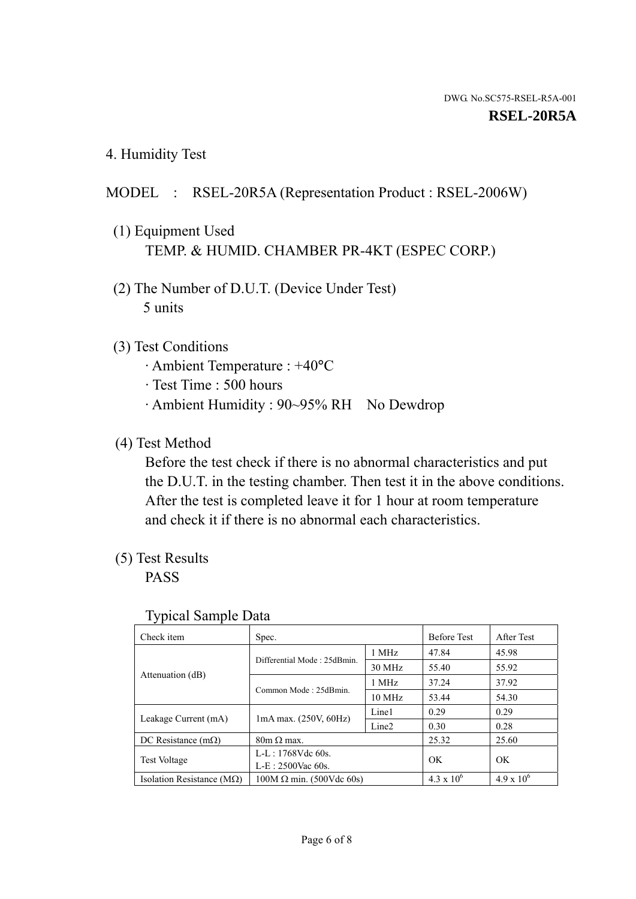4. Humidity Test

# MODEL : RSEL-20R5A (Representation Product : RSEL-2006W)

- (1) Equipment Used TEMP. & HUMID. CHAMBER PR-4KT (ESPEC CORP.)
- (2) The Number of D.U.T. (Device Under Test) 5 units

# (3) Test Conditions

- · Ambient Temperature : +40°C
- · Test Time : 500 hours
- · Ambient Humidity : 90~95% RH No Dewdrop

### (4) Test Method

 Before the test check if there is no abnormal characteristics and put the D.U.T. in the testing chamber. Then test it in the above conditions. After the test is completed leave it for 1 hour at room temperature and check it if there is no abnormal each characteristics.

# (5) Test Results

PASS

| . .                                |                                 |                   |                     |                     |
|------------------------------------|---------------------------------|-------------------|---------------------|---------------------|
| Check item                         | Spec.                           |                   | <b>Before Test</b>  | After Test          |
| Attenuation (dB)                   | Differential Mode: 25dBmin.     | 1 MHz             | 47.84               | 45.98               |
|                                    |                                 | 30 MHz            | 55.40               | 55.92               |
|                                    | Common Mode: 25dBmin.           | 1 MHz             | 37.24               | 37.92               |
|                                    |                                 | 10 MHz            | 53.44               | 54.30               |
| Leakage Current (mA)               | $1mA$ max. $(250V, 60Hz)$       | Line1             | 0.29                | 0.29                |
|                                    |                                 | Line <sub>2</sub> | 0.30                | 0.28                |
| DC Resistance $(m\Omega)$          | $80m \Omega$ max.               |                   | 25.32               | 25.60               |
| <b>Test Voltage</b>                | $L-L: 1768Vdc$ 60s.             |                   | OK                  | OK                  |
|                                    | $L-E: 2500$ Vac 60s.            |                   |                     |                     |
| Isolation Resistance ( $M\Omega$ ) | $100M \Omega$ min. (500Vdc 60s) |                   | $4.3 \times 10^{6}$ | $4.9 \times 10^{6}$ |

#### Typical Sample Data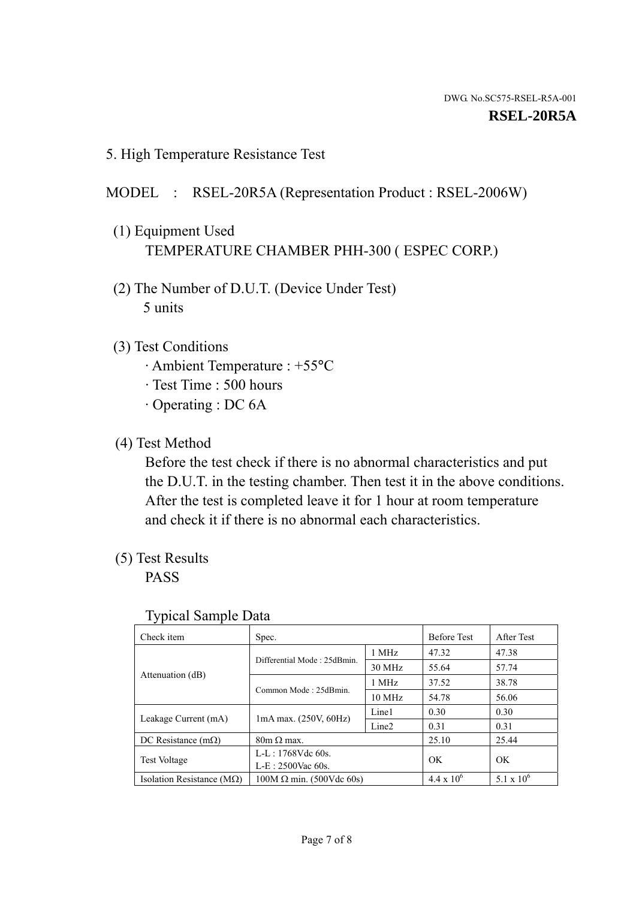5. High Temperature Resistance Test

# MODEL : RSEL-20R5A (Representation Product : RSEL-2006W)

- (1) Equipment Used TEMPERATURE CHAMBER PHH-300 ( ESPEC CORP.)
- (2) The Number of D.U.T. (Device Under Test) 5 units
- (3) Test Conditions
	- · Ambient Temperature : +55°C
	- · Test Time : 500 hours
	- · Operating : DC 6A
- (4) Test Method

 Before the test check if there is no abnormal characteristics and put the D.U.T. in the testing chamber. Then test it in the above conditions. After the test is completed leave it for 1 hour at room temperature and check it if there is no abnormal each characteristics.

(5) Test Results

PASS

| ┙┸                                 |                                 |                   |                     |              |
|------------------------------------|---------------------------------|-------------------|---------------------|--------------|
| Check item                         | Spec.                           |                   | <b>Before Test</b>  | After Test   |
|                                    | Differential Mode: 25dBmin.     | 1 MHz             | 47.32               | 47.38        |
|                                    |                                 | 30 MHz            | 55.64               | 57.74        |
| Attenuation (dB)                   | Common Mode: 25dBmin.           | 1 MHz             | 37.52               | 38.78        |
|                                    |                                 | 10 MHz            | 54.78               | 56.06        |
| Leakage Current (mA)               | $1mA$ max. $(250V, 60Hz)$       | Line1             | 0.30                | 0.30         |
|                                    |                                 | Line <sub>2</sub> | 0.31                | 0.31         |
| DC Resistance $(m\Omega)$          | $80m \Omega$ max.               |                   | 25.10               | 25.44        |
| <b>Test Voltage</b>                | $L-L: 1768Vdc$ 60s.             |                   | OK                  | OK           |
|                                    | $L-E: 2500$ Vac 60s.            |                   |                     |              |
| Isolation Resistance ( $M\Omega$ ) | $100M \Omega$ min. (500Vdc 60s) |                   | $4.4 \times 10^{6}$ | 5.1 x $10^6$ |

#### Typical Sample Data